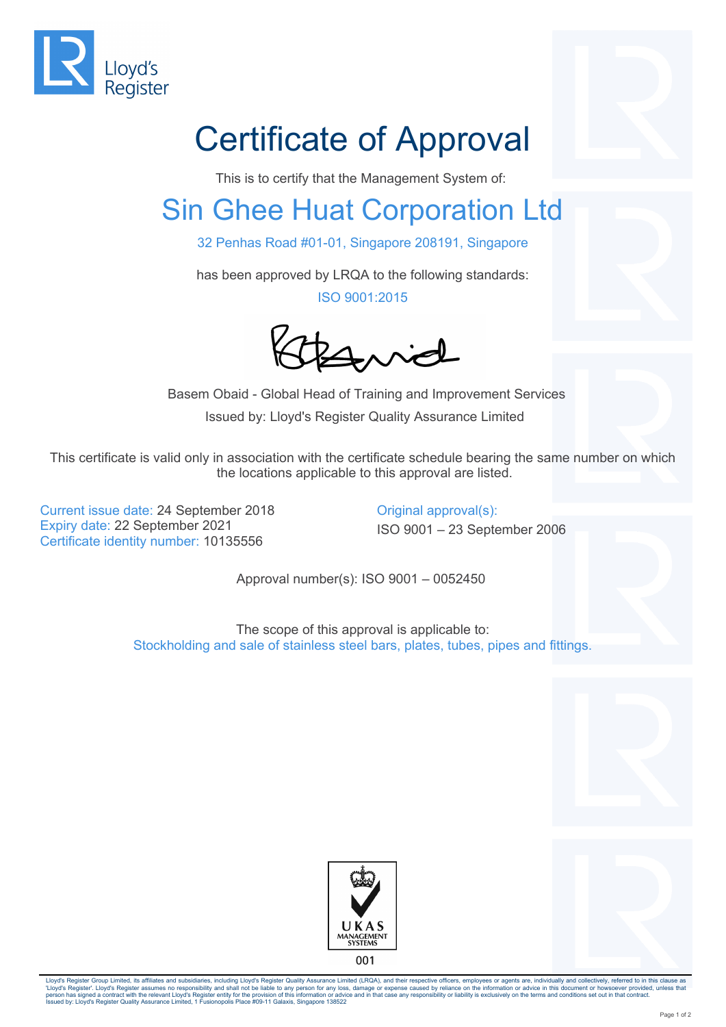

## Certificate of Approval

This is to certify that the Management System of:

## Sin Ghee Huat Corporation Ltd

32 Penhas Road #01-01, Singapore 208191, Singapore

has been approved by LRQA to the following standards:

ISO 9001:2015

Buid

 Basem Obaid - Global Head of Training and Improvement Services Issued by: Lloyd's Register Quality Assurance Limited

This certificate is valid only in association with the certificate schedule bearing the same number on which the locations applicable to this approval are listed.

Current issue date: 24 September 2018 Conginal approval(s): Expiry date: 22 September 2021 ISO 9001 – 23 September 2006 Certificate identity number: 10135556

Approval number(s): ISO 9001 – 0052450

The scope of this approval is applicable to: Stockholding and sale of stainless steel bars, plates, tubes, pipes and fittings.





Lloyd's Register Group Limited, its affiliates and subsidiaries, including Lloyd's Register Quality Assurance Limited (LRQA), and their respective officers, employees or agents are, individually and collectively, referred